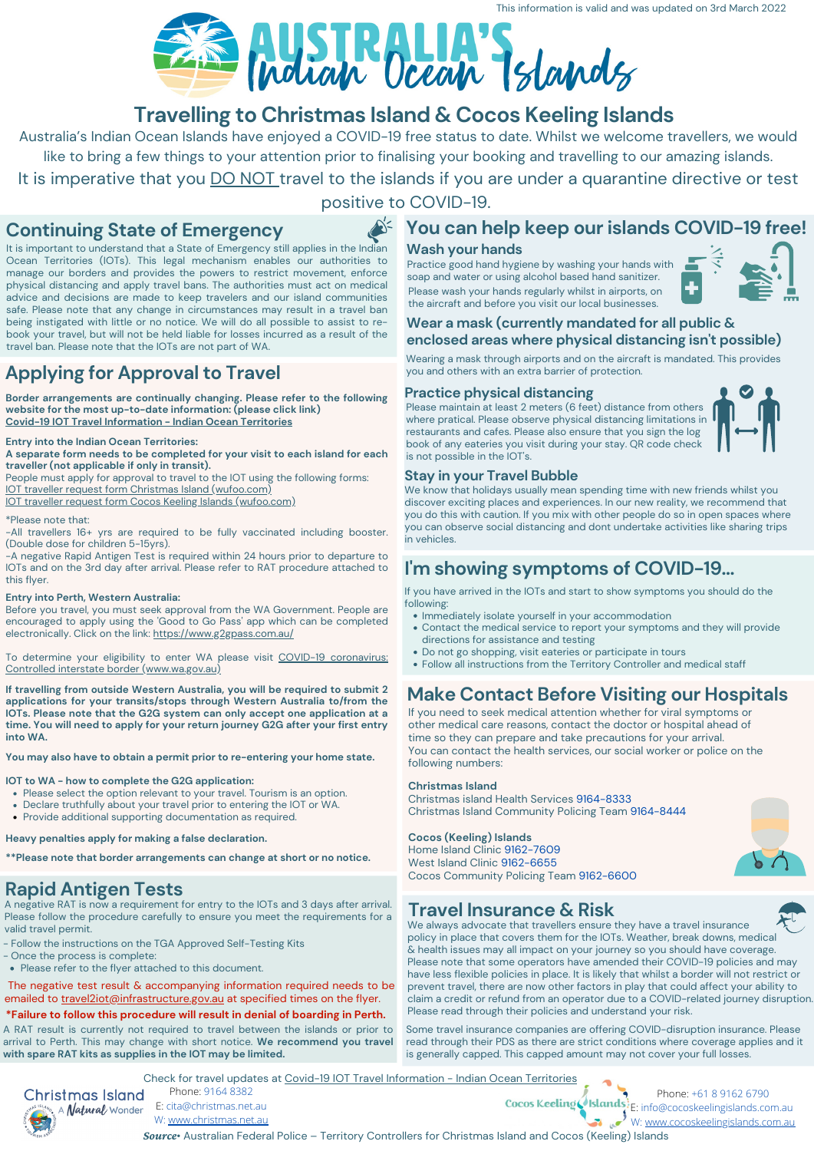# **Make Contact Before Visiting our Hospitals**

If you need to seek medical attention whether for viral symptoms or other medical care reasons, contact the doctor or hospital ahead of time so they can prepare and take precautions for your arrival. You can contact the health services, our social worker or police on the following numbers:

### **Christmas Island**

Christmas island Health Services 9164-8333 Christmas Island Community Policing Team 9164-8444

### **Cocos (Keeling) Islands**

Home Island Clinic 9162-7609 West Island Clinic 9162-6655 Cocos Community Policing Team 9162-6600

# **Travelling to Christmas Island & Cocos Keeling Islands**

# **Applying for Approval to Travel**

### **Wash your hands**

Practice good hand hygiene by washing your hands with soap and water or using alcohol based hand sanitizer.

# **I' m showing symptoms of COVID-19...**

## **Practice physical distancing**

Please maintain at least 2 meters (6 feet) distance from others where pratical. Please observe physical distancing limitations in restaurants and cafes. Please also ensure that you sign the log book of any eateries you visit during your stay. QR code check is not possible in the IOT's.



## **Continuing State of Emergency**

### $\sum$ **You can help keep ourislands COVID-19 free!**

It is important to understand that a State of Emergency still applies in the Indian Ocean Territories (IOTs). This legal mechanism enables our authorities to manage our borders and provides the powers to restrict movement, enforce physical distancing and apply travel bans. The authorities must act on medical advice and decisions are made to keep travelers and our island communities safe. Please note that any change in circumstances may result in a travel ban being instigated with little or no notice. We will do all possible to assist to re book your travel, but will not be held liable for losses incurred as a result of the travel ban. Please note that the IOTs are not part of WA.

- Immediately isolate yourself in your accommodation
- Contact the medical service to report your symptoms and they will provide directions for assistance and testing
- Do not go shopping, visit eateries or participate in tours
- Follow all instructions from the Territory Controller and medical staff



Phone: 9164 8382 E: cita@christmas.net.au W: [www.christmas.net.au](https://www.christmas.net.au/)

Phone: +61 8 9162 6790 Cocos Keeling Islands: E: info@cocoskeelingislands.com.au W: [www.cocoskeelingislands.com.au](https://www.cocoskeelingislands.com.au/)

*Source*• Australian Federal Police – Territory Controllers for Christmas Island and Cocos (Keeling) Islands



Before you travel, you must seek approval from the WA Government. People are encouraged to apply using the 'Good to Go Pass' app which can be completed electronically. Click on the link: <https://www.g2gpass.com.au/>

Please wash your hands regularly whilst in airports, on the aircraft and before you visit our local businesses.



## **Travel Insurance & Risk**

## **Stay in your Travel Bubble**

We know that holidays usually mean spending time with new friends whilst you discover exciting places and experiences. In our new reality, we recommend that you do this with caution. If you mix with other people do so in open spaces where you can observe social distancing and dont undertake activities like sharing trips in vehicles.

- Follow the instructions on the TGA Approved Self-Testing Kits
- Once the process is complete:
- Please refer to the flyer attached to this document.

The negative test result & accompanying information required needs to be emailed to travel2iot@infrastructure.gov.au at specified times on the flyer.

If you have arrived in the IOTs and start to show symptoms you should do the following:

### **Wear a mask (currently mandated for all public & enclosed areas where physical distancing isn 't possible)**

Wearing a mask through airports and on the aircraft is mandated. This provides you and others with an extra barrier of protection.

Australia's Indian Ocean Islands have enjoyed a COVID-19 free status to date. Whilst we welcome travellers, we would like to bring a few things to your attention prior to finalising your booking and travelling to our amazing islands. It is imperative that you **DO NOT** travel to the islands if you are under a quarantine directive or test positive to COVID-19.

**Border arrangements are continually changing. Please refer to the following website for the most up-to-date information: (please click link) Covid-19 IOT Travel [Information](https://indianoceanterritories.com.au/covid-19-iot-travel-information/) - Indian Ocean Territories**

### **Entry into the Indian Ocean Territories:**

**A separate form needs to be completed for your visit to each island for each traveller (not applicable if only in transit).**

People must apply for approval to travel to the IOT using the following forms: IOT traveller request form Christmas Island [\(wufoo.com\)](https://indianoceanterritories.wufoo.com/forms/zx07zb40cwu8ui/)

IOT traveller request form Cocos Keeling Islands [\(wufoo.com\)](https://bit.ly/IOT_Traveller_Form_Cocos)

### \*Please note that:

-All travellers 16+ yrs are required to be fully vaccinated including booster. (Double dose for children 5-15yrs).

> We always advocate that travellers ensure they have a travel insurance policy in place that covers them for the IOTs. Weather, break downs, medical & health issues may all impact on your journey so you should have coverage. Please note that some operators have amended their COVID-19 policies and may have less flexible policies in place. It is likely that whilst a border will not restrict or prevent travel, there are now other factors in play that could affect your ability to claim a credit or refund from an operator due to a COVID-related journey disruption. Please read through their policies and understand your risk.

-A negative Rapid Antigen Test is required within 24 hours prior to departure to IOTs and on the 3rd day after arrival. Please refer to RAT procedure attached to this flyer.

### **Entry into Perth, Western Australia:**

To determine your eligibility to enter WA please visit COVID-19 coronavirus: Controlled interstate border [\(www.wa.gov.au\)](https://www.wa.gov.au/organisation/covid-communications/covid-19-coronavirus-controlled-interstate-border)

**If travelling from outside Western Australia, you will be required to submit 2 applications for your transits/stops through Western Australia to/from the IOTs. Please note that the G2G system can only accept one application at a time. You will need to apply for your return journey G2G after your first entry into WA.**

**You may also have to obtain a permit prior to re-entering your home state.**

### **IOT to WA - how to complete the G2G application:**

- Please select the option relevant to your travel. Tourism is an option.
- Declare truthfully about your travel prior to entering the IOT or WA.
- Provide additional supporting documentation as required.

**Heavy penalties apply for making a false declaration.**

**\*\*Please note that border arrangements can change at short or no notice.**

Check for travel updates at Covid-19 IOT Travel [Information](https://indianoceanterritories.com.au/covid-19-iot-travel-information/) - Indian Ocean Territories



# **Rapid Antigen Tests**

A negative RAT is now a requirement for entry to the IOTs and 3 days after arrival. Please follow the procedure carefully to ensure you meet the requirements for a valid travel permit.

**\*Failure to follow this procedure will result in denial of boarding in Perth.**

Some travel insurance companies are offering COVID-disruption insurance. Please read through their PDS as there are strict conditions where coverage applies and it is generally capped. This capped amount may not cover your full losses.

A RAT result is currently not required to travel between the islands or prior to arrival to Perth. This may change with short notice. **We recommend you travel with spare RAT kits as supplies in the IOT may be limited.**